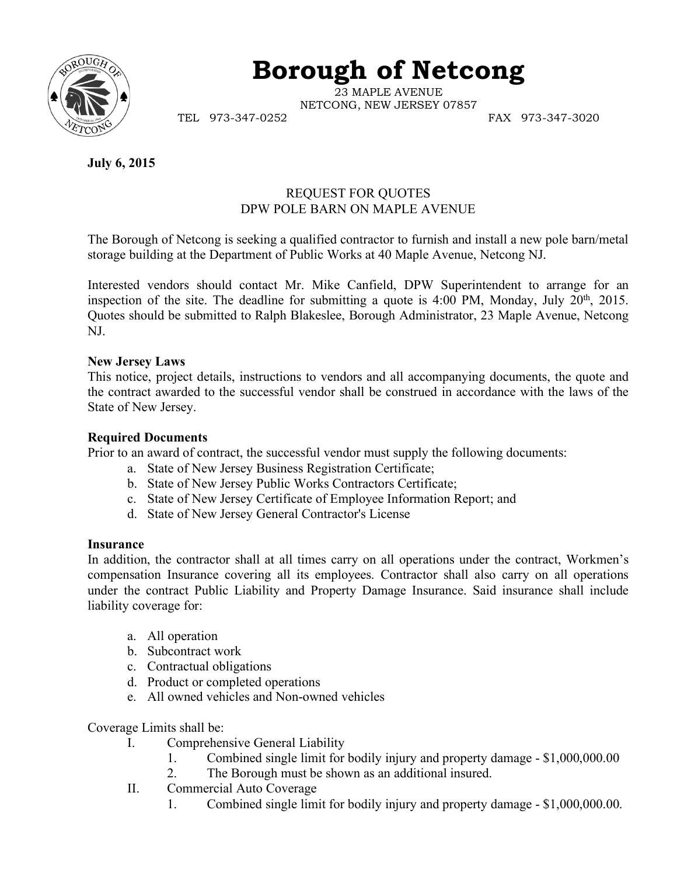

# **Borough of Netcong**

23 MAPLE AVENUE NETCONG, NEW JERSEY 07857

TEL 973-347-0252 FAX 973-347-3020

**July 6, 2015**

## REQUEST FOR QUOTES DPW POLE BARN ON MAPLE AVENUE

The Borough of Netcong is seeking a qualified contractor to furnish and install a new pole barn/metal storage building at the Department of Public Works at 40 Maple Avenue, Netcong NJ.

Interested vendors should contact Mr. Mike Canfield, DPW Superintendent to arrange for an inspection of the site. The deadline for submitting a quote is  $4:00$  PM, Monday, July  $20<sup>th</sup>$ ,  $2015$ . Quotes should be submitted to Ralph Blakeslee, Borough Administrator, 23 Maple Avenue, Netcong NJ.

## **New Jersey Laws**

This notice, project details, instructions to vendors and all accompanying documents, the quote and the contract awarded to the successful vendor shall be construed in accordance with the laws of the State of New Jersey.

#### **Required Documents**

Prior to an award of contract, the successful vendor must supply the following documents:

- a. State of New Jersey Business Registration Certificate;
- b. State of New Jersey Public Works Contractors Certificate;
- c. State of New Jersey Certificate of Employee Information Report; and
- d. State of New Jersey General Contractor's License

#### **Insurance**

In addition, the contractor shall at all times carry on all operations under the contract, Workmen's compensation Insurance covering all its employees. Contractor shall also carry on all operations under the contract Public Liability and Property Damage Insurance. Said insurance shall include liability coverage for:

- a. All operation
- b. Subcontract work
- c. Contractual obligations
- d. Product or completed operations
- e. All owned vehicles and Non-owned vehicles

Coverage Limits shall be:

- I. Comprehensive General Liability
	- 1. Combined single limit for bodily injury and property damage \$1,000,000.00
	- 2. The Borough must be shown as an additional insured.
- II. Commercial Auto Coverage
	- 1. Combined single limit for bodily injury and property damage \$1,000,000.00.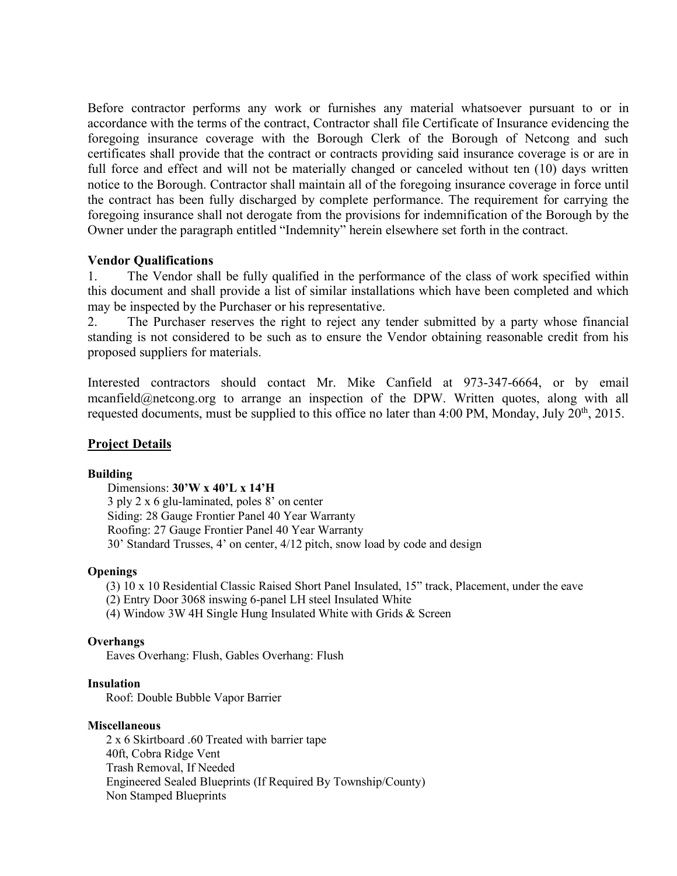Before contractor performs any work or furnishes any material whatsoever pursuant to or in accordance with the terms of the contract, Contractor shall file Certificate of Insurance evidencing the foregoing insurance coverage with the Borough Clerk of the Borough of Netcong and such certificates shall provide that the contract or contracts providing said insurance coverage is or are in full force and effect and will not be materially changed or canceled without ten (10) days written notice to the Borough. Contractor shall maintain all of the foregoing insurance coverage in force until the contract has been fully discharged by complete performance. The requirement for carrying the foregoing insurance shall not derogate from the provisions for indemnification of the Borough by the Owner under the paragraph entitled "Indemnity" herein elsewhere set forth in the contract.

#### **Vendor Qualifications**

1. The Vendor shall be fully qualified in the performance of the class of work specified within this document and shall provide a list of similar installations which have been completed and which may be inspected by the Purchaser or his representative.

2. The Purchaser reserves the right to reject any tender submitted by a party whose financial standing is not considered to be such as to ensure the Vendor obtaining reasonable credit from his proposed suppliers for materials.

Interested contractors should contact Mr. Mike Canfield at 973-347-6664, or by email mcanfield@netcong.org to arrange an inspection of the DPW. Written quotes, along with all requested documents, must be supplied to this office no later than 4:00 PM, Monday, July 20<sup>th</sup>, 2015.

## **Project Details**

#### **Building**

Dimensions: **30'W x 40'L x 14'H** 3 ply 2 x 6 glu-laminated, poles 8' on center Siding: 28 Gauge Frontier Panel 40 Year Warranty Roofing: 27 Gauge Frontier Panel 40 Year Warranty 30' Standard Trusses, 4' on center, 4/12 pitch, snow load by code and design

#### **Openings**

- (3) 10 x 10 Residential Classic Raised Short Panel Insulated, 15" track, Placement, under the eave
- (2) Entry Door 3068 inswing 6-panel LH steel Insulated White
- (4) Window 3W 4H Single Hung Insulated White with Grids & Screen

#### **Overhangs**

Eaves Overhang: Flush, Gables Overhang: Flush

#### **Insulation**

Roof: Double Bubble Vapor Barrier

#### **Miscellaneous**

 2 x 6 Skirtboard .60 Treated with barrier tape 40ft, Cobra Ridge Vent Trash Removal, If Needed Engineered Sealed Blueprints (If Required By Township/County) Non Stamped Blueprints